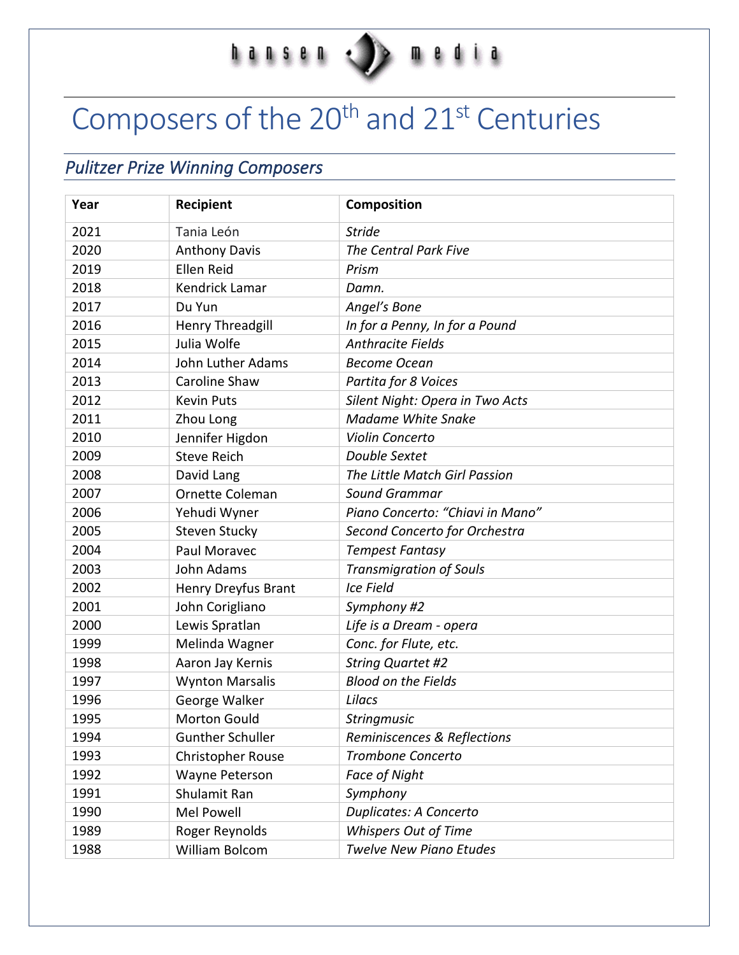## $\begin{array}{c} \color{red}\textbf{h} & \color{red}\textbf{a} & \color{red}\textbf{h} & \color{red}\textbf{s} & \color{red}\textbf{e} & \color{red}\textbf{h} \\ \color{red}\textbf{h} & \color{red}\textbf{a} & \color{red}\textbf{h} & \color{red}\textbf{s} & \color{red}\textbf{e} & \color{red}\textbf{h} \end{array}$

# Composers of the 20<sup>th</sup> and 21<sup>st</sup> Centuries

# *Pulitzer Prize Winning Composers*

| Year | <b>Recipient</b>        | Composition                      |
|------|-------------------------|----------------------------------|
| 2021 | Tania León              | <b>Stride</b>                    |
| 2020 | <b>Anthony Davis</b>    | The Central Park Five            |
| 2019 | Ellen Reid              | Prism                            |
| 2018 | <b>Kendrick Lamar</b>   | Damn.                            |
| 2017 | Du Yun                  | Angel's Bone                     |
| 2016 | Henry Threadgill        | In for a Penny, In for a Pound   |
| 2015 | Julia Wolfe             | <b>Anthracite Fields</b>         |
| 2014 | John Luther Adams       | <b>Become Ocean</b>              |
| 2013 | Caroline Shaw           | Partita for 8 Voices             |
| 2012 | <b>Kevin Puts</b>       | Silent Night: Opera in Two Acts  |
| 2011 | Zhou Long               | <b>Madame White Snake</b>        |
| 2010 | Jennifer Higdon         | Violin Concerto                  |
| 2009 | <b>Steve Reich</b>      | Double Sextet                    |
| 2008 | David Lang              | The Little Match Girl Passion    |
| 2007 | Ornette Coleman         | <b>Sound Grammar</b>             |
| 2006 | Yehudi Wyner            | Piano Concerto: "Chiavi in Mano" |
| 2005 | <b>Steven Stucky</b>    | Second Concerto for Orchestra    |
| 2004 | Paul Moravec            | <b>Tempest Fantasy</b>           |
| 2003 | John Adams              | <b>Transmigration of Souls</b>   |
| 2002 | Henry Dreyfus Brant     | <b>Ice Field</b>                 |
| 2001 | John Corigliano         | Symphony #2                      |
| 2000 | Lewis Spratlan          | Life is a Dream - opera          |
| 1999 | Melinda Wagner          | Conc. for Flute, etc.            |
| 1998 | Aaron Jay Kernis        | <b>String Quartet #2</b>         |
| 1997 | <b>Wynton Marsalis</b>  | <b>Blood on the Fields</b>       |
| 1996 | George Walker           | Lilacs                           |
| 1995 | <b>Morton Gould</b>     | Stringmusic                      |
| 1994 | <b>Gunther Schuller</b> | Reminiscences & Reflections      |
| 1993 | Christopher Rouse       | Trombone Concerto                |
| 1992 | Wayne Peterson          | Face of Night                    |
| 1991 | Shulamit Ran            | Symphony                         |
| 1990 | Mel Powell              | <b>Duplicates: A Concerto</b>    |
| 1989 | Roger Reynolds          | <b>Whispers Out of Time</b>      |
| 1988 | William Bolcom          | <b>Twelve New Piano Etudes</b>   |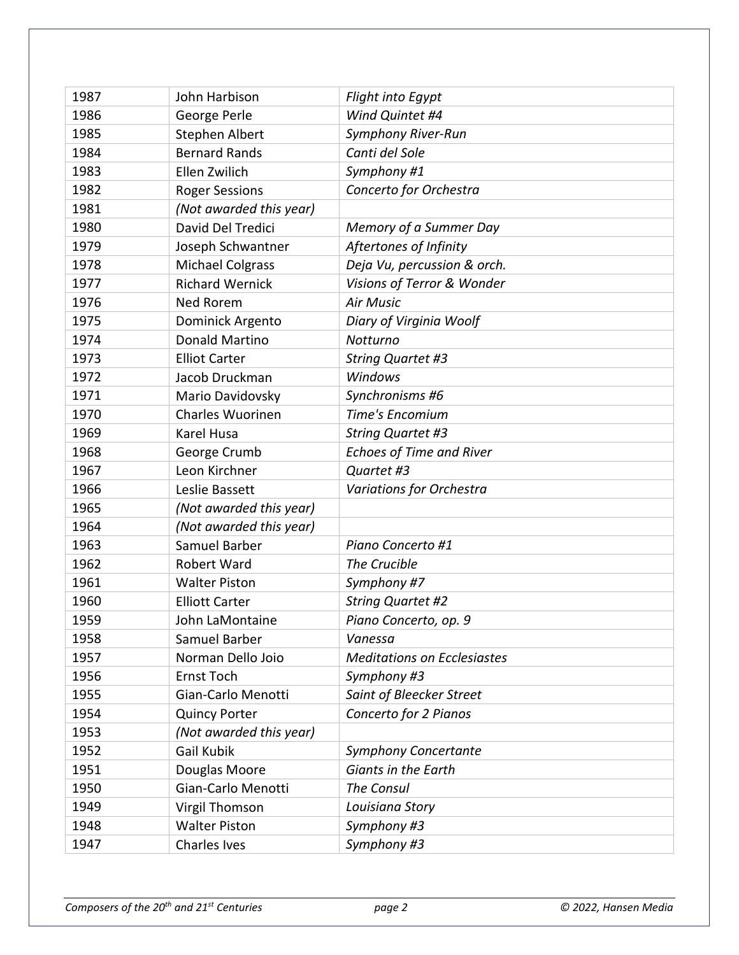| 1987 | John Harbison           | Flight into Egypt                  |
|------|-------------------------|------------------------------------|
| 1986 | George Perle            | Wind Quintet #4                    |
| 1985 | Stephen Albert          | Symphony River-Run                 |
| 1984 | <b>Bernard Rands</b>    | Canti del Sole                     |
| 1983 | Ellen Zwilich           | Symphony #1                        |
| 1982 | <b>Roger Sessions</b>   | Concerto for Orchestra             |
| 1981 | (Not awarded this year) |                                    |
| 1980 | David Del Tredici       | Memory of a Summer Day             |
| 1979 | Joseph Schwantner       | Aftertones of Infinity             |
| 1978 | <b>Michael Colgrass</b> | Deja Vu, percussion & orch.        |
| 1977 | <b>Richard Wernick</b>  | Visions of Terror & Wonder         |
| 1976 | Ned Rorem               | <b>Air Music</b>                   |
| 1975 | Dominick Argento        | Diary of Virginia Woolf            |
| 1974 | <b>Donald Martino</b>   | Notturno                           |
| 1973 | <b>Elliot Carter</b>    | <b>String Quartet #3</b>           |
| 1972 | Jacob Druckman          | Windows                            |
| 1971 | Mario Davidovsky        | Synchronisms #6                    |
| 1970 | <b>Charles Wuorinen</b> | Time's Encomium                    |
| 1969 | Karel Husa              | <b>String Quartet #3</b>           |
| 1968 | George Crumb            | <b>Echoes of Time and River</b>    |
| 1967 | Leon Kirchner           | Quartet #3                         |
| 1966 | Leslie Bassett          | Variations for Orchestra           |
| 1965 | (Not awarded this year) |                                    |
| 1964 | (Not awarded this year) |                                    |
| 1963 | Samuel Barber           | Piano Concerto #1                  |
| 1962 | Robert Ward             | The Crucible                       |
| 1961 | <b>Walter Piston</b>    | Symphony #7                        |
| 1960 | <b>Elliott Carter</b>   | <b>String Quartet #2</b>           |
| 1959 | John LaMontaine         | Piano Concerto, op. 9              |
| 1958 | Samuel Barber           | Vanessa                            |
| 1957 | Norman Dello Joio       | <b>Meditations on Ecclesiastes</b> |
| 1956 | <b>Ernst Toch</b>       | Symphony #3                        |
| 1955 | Gian-Carlo Menotti      | Saint of Bleecker Street           |
| 1954 | <b>Quincy Porter</b>    | Concerto for 2 Pianos              |
| 1953 | (Not awarded this year) |                                    |
| 1952 | Gail Kubik              | <b>Symphony Concertante</b>        |
| 1951 | Douglas Moore           | Giants in the Earth                |
| 1950 | Gian-Carlo Menotti      | The Consul                         |
| 1949 | Virgil Thomson          | Louisiana Story                    |
| 1948 | <b>Walter Piston</b>    | Symphony #3                        |
| 1947 | <b>Charles Ives</b>     | Symphony #3                        |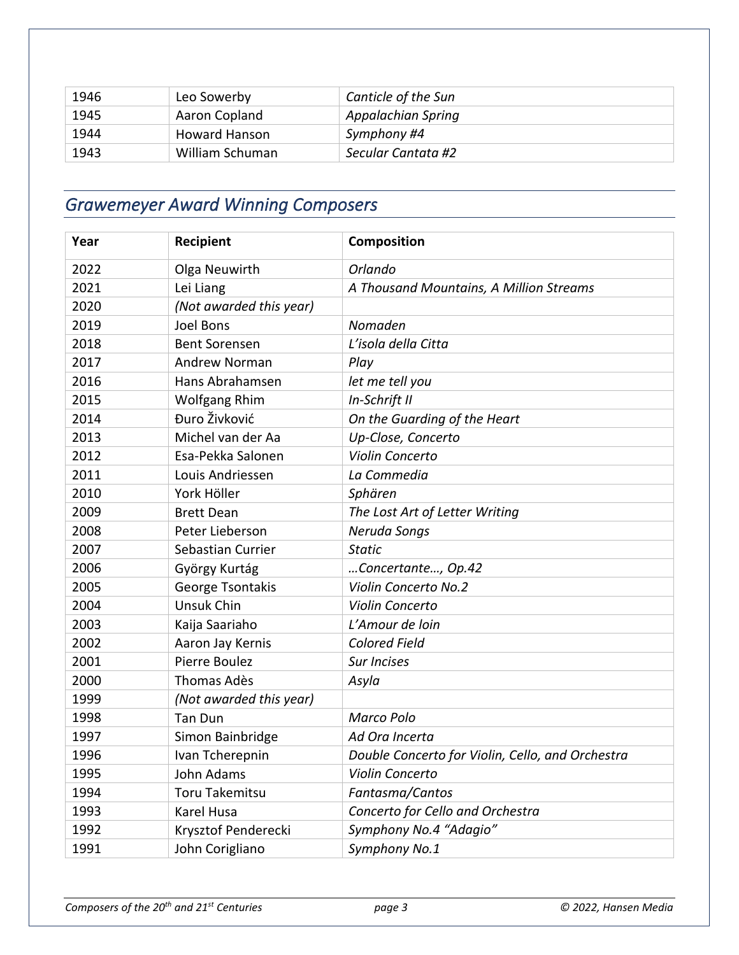| 1946 | Leo Sowerby          | Canticle of the Sun |
|------|----------------------|---------------------|
| 1945 | Aaron Copland        | Appalachian Spring  |
| 1944 | <b>Howard Hanson</b> | Symphony #4         |
| 1943 | William Schuman      | Secular Cantata #2  |

## *Grawemeyer Award Winning Composers*

| Year | Recipient               | Composition                                      |
|------|-------------------------|--------------------------------------------------|
| 2022 | Olga Neuwirth           | Orlando                                          |
| 2021 | Lei Liang               | A Thousand Mountains, A Million Streams          |
| 2020 | (Not awarded this year) |                                                  |
| 2019 | <b>Joel Bons</b>        | Nomaden                                          |
| 2018 | <b>Bent Sorensen</b>    | L'isola della Citta                              |
| 2017 | <b>Andrew Norman</b>    | Play                                             |
| 2016 | Hans Abrahamsen         | let me tell you                                  |
| 2015 | <b>Wolfgang Rhim</b>    | In-Schrift II                                    |
| 2014 | Đuro Živković           | On the Guarding of the Heart                     |
| 2013 | Michel van der Aa       | Up-Close, Concerto                               |
| 2012 | Esa-Pekka Salonen       | Violin Concerto                                  |
| 2011 | Louis Andriessen        | La Commedia                                      |
| 2010 | York Höller             | Sphären                                          |
| 2009 | <b>Brett Dean</b>       | The Lost Art of Letter Writing                   |
| 2008 | Peter Lieberson         | Neruda Songs                                     |
| 2007 | Sebastian Currier       | <b>Static</b>                                    |
| 2006 | György Kurtág           | Concertante, Op.42                               |
| 2005 | George Tsontakis        | Violin Concerto No.2                             |
| 2004 | <b>Unsuk Chin</b>       | Violin Concerto                                  |
| 2003 | Kaija Saariaho          | L'Amour de loin                                  |
| 2002 | Aaron Jay Kernis        | <b>Colored Field</b>                             |
| 2001 | Pierre Boulez           | <b>Sur Incises</b>                               |
| 2000 | <b>Thomas Adès</b>      | Asyla                                            |
| 1999 | (Not awarded this year) |                                                  |
| 1998 | <b>Tan Dun</b>          | Marco Polo                                       |
| 1997 | Simon Bainbridge        | Ad Ora Incerta                                   |
| 1996 | Ivan Tcherepnin         | Double Concerto for Violin, Cello, and Orchestra |
| 1995 | John Adams              | Violin Concerto                                  |
| 1994 | <b>Toru Takemitsu</b>   | Fantasma/Cantos                                  |
| 1993 | <b>Karel Husa</b>       | Concerto for Cello and Orchestra                 |
| 1992 | Krysztof Penderecki     | Symphony No.4 "Adagio"                           |
| 1991 | John Corigliano         | Symphony No.1                                    |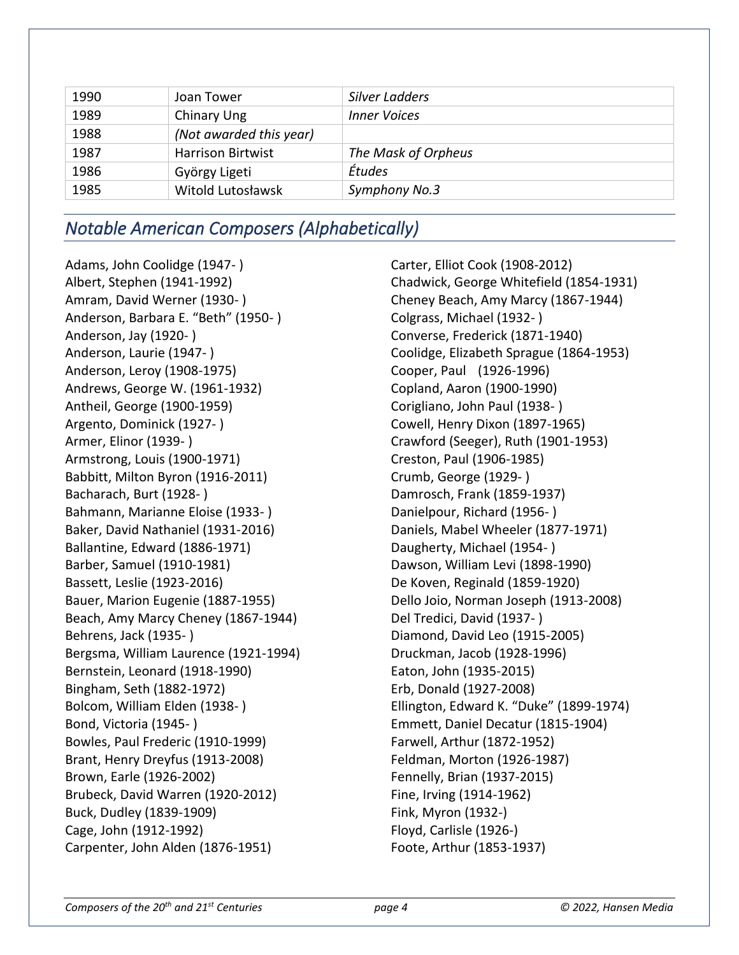| 1990 | Joan Tower               | Silver Ladders      |
|------|--------------------------|---------------------|
| 1989 | Chinary Ung              | <b>Inner Voices</b> |
| 1988 | (Not awarded this year)  |                     |
| 1987 | <b>Harrison Birtwist</b> | The Mask of Orpheus |
| 1986 | György Ligeti            | Études              |
| 1985 | Witold Lutosławsk        | Symphony No.3       |

## *Notable American Composers (Alphabetically)*

Adams, John Coolidge (1947- ) Albert, Stephen (1941-1992) Amram, David Werner (1930- ) Anderson, Barbara E. "Beth" (1950- ) Anderson, Jay (1920- ) Anderson, Laurie (1947- ) Anderson, Leroy (1908-1975) Andrews, George W. (1961-1932) Antheil, George (1900-1959) Argento, Dominick (1927- ) Armer, Elinor (1939- ) Armstrong, Louis (1900-1971) Babbitt, Milton Byron (1916-2011) Bacharach, Burt (1928- ) Bahmann, Marianne Eloise (1933- ) Baker, David Nathaniel (1931-2016) Ballantine, Edward (1886-1971) Barber, Samuel (1910-1981) Bassett, Leslie (1923-2016) Bauer, Marion Eugenie (1887-1955) Beach, Amy Marcy Cheney (1867-1944) Behrens, Jack (1935- ) Bergsma, William Laurence (1921-1994) Bernstein, Leonard (1918-1990) Bingham, Seth (1882-1972) Bolcom, William Elden (1938- ) Bond, Victoria (1945- ) Bowles, Paul Frederic (1910-1999) Brant, Henry Dreyfus (1913-2008) Brown, Earle (1926-2002) Brubeck, David Warren (1920-2012) Buck, Dudley (1839-1909) Cage, John (1912-1992) Carpenter, John Alden (1876-1951)

Carter, Elliot Cook (1908-2012) Chadwick, George Whitefield (1854-1931) Cheney Beach, Amy Marcy (1867-1944) Colgrass, Michael (1932- ) Converse, Frederick (1871-1940) Coolidge, Elizabeth Sprague (1864-1953) Cooper, Paul (1926-1996) Copland, Aaron (1900-1990) Corigliano, John Paul (1938- ) Cowell, Henry Dixon (1897-1965) Crawford (Seeger), Ruth (1901-1953) Creston, Paul (1906-1985) Crumb, George (1929- ) Damrosch, Frank (1859-1937) Danielpour, Richard (1956- ) Daniels, Mabel Wheeler (1877-1971) Daugherty, Michael (1954- ) Dawson, William Levi (1898-1990) De Koven, Reginald (1859-1920) Dello Joio, Norman Joseph (1913-2008) Del Tredici, David (1937- ) Diamond, David Leo (1915-2005) Druckman, Jacob (1928-1996) Eaton, John (1935-2015) Erb, Donald (1927-2008) Ellington, Edward K. "Duke" (1899-1974) Emmett, Daniel Decatur (1815-1904) Farwell, Arthur (1872-1952) Feldman, Morton (1926-1987) Fennelly, Brian (1937-2015) Fine, Irving (1914-1962) Fink, Myron (1932-) Floyd, Carlisle (1926-) Foote, Arthur (1853-1937)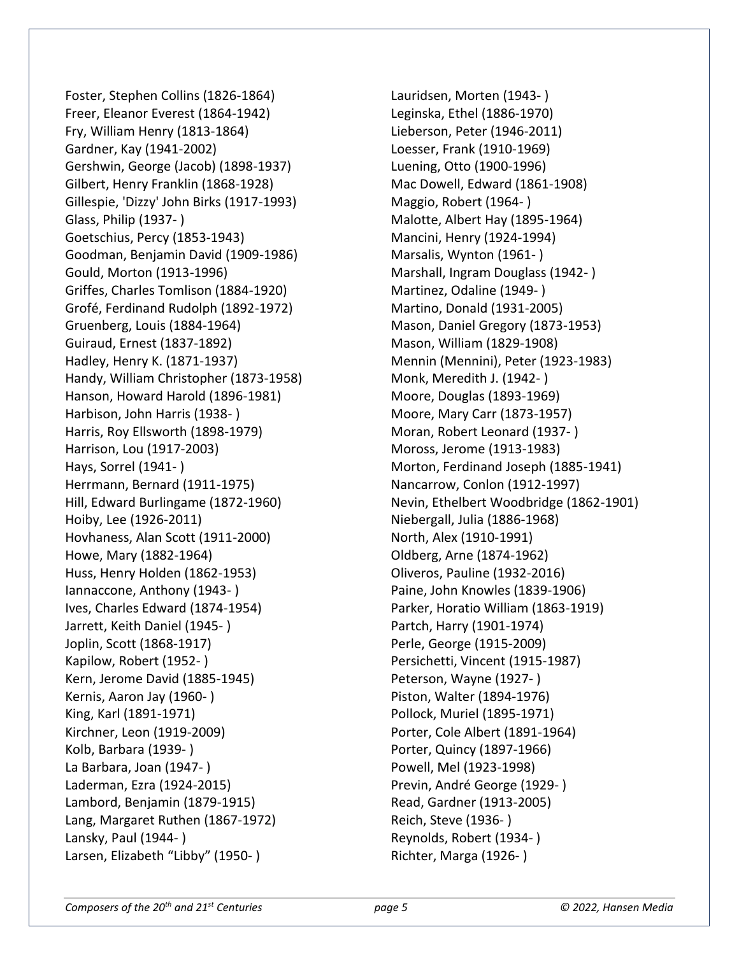Foster, Stephen Collins (1826-1864) Freer, Eleanor Everest (1864-1942) Fry, William Henry (1813-1864) Gardner, Kay (1941-2002) Gershwin, George (Jacob) (1898-1937) Gilbert, Henry Franklin (1868-1928) Gillespie, 'Dizzy' John Birks (1917-1993) Glass, Philip (1937- ) Goetschius, Percy (1853-1943) Goodman, Benjamin David (1909-1986) Gould, Morton (1913-1996) Griffes, Charles Tomlison (1884-1920) Grofé, Ferdinand Rudolph (1892-1972) Gruenberg, Louis (1884-1964) Guiraud, Ernest (1837-1892) Hadley, Henry K. (1871-1937) Handy, William Christopher (1873-1958) Hanson, Howard Harold (1896-1981) Harbison, John Harris (1938- ) Harris, Roy Ellsworth (1898-1979) Harrison, Lou (1917-2003) Hays, Sorrel (1941- ) Herrmann, Bernard (1911-1975) Hill, Edward Burlingame (1872-1960) Hoiby, Lee (1926-2011) Hovhaness, Alan Scott (1911-2000) Howe, Mary (1882-1964) Huss, Henry Holden (1862-1953) Iannaccone, Anthony (1943- ) Ives, Charles Edward (1874-1954) Jarrett, Keith Daniel (1945- ) Joplin, Scott (1868-1917) Kapilow, Robert (1952- ) Kern, Jerome David (1885-1945) Kernis, Aaron Jay (1960- ) King, Karl (1891-1971) Kirchner, Leon (1919-2009) Kolb, Barbara (1939- ) La Barbara, Joan (1947- ) Laderman, Ezra (1924-2015) Lambord, Benjamin (1879-1915) Lang, Margaret Ruthen (1867-1972) Lansky, Paul (1944- ) Larsen, Elizabeth "Libby" (1950- )

Lauridsen, Morten (1943- ) Leginska, Ethel (1886-1970) Lieberson, Peter (1946-2011) Loesser, Frank (1910-1969) Luening, Otto (1900-1996) Mac Dowell, Edward (1861-1908) Maggio, Robert (1964- ) Malotte, Albert Hay (1895-1964) Mancini, Henry (1924-1994) Marsalis, Wynton (1961- ) Marshall, Ingram Douglass (1942- ) Martinez, Odaline (1949- ) Martino, Donald (1931-2005) Mason, Daniel Gregory (1873-1953) Mason, William (1829-1908) Mennin (Mennini), Peter (1923-1983) Monk, Meredith J. (1942- ) Moore, Douglas (1893-1969) Moore, Mary Carr (1873-1957) Moran, Robert Leonard (1937- ) Moross, Jerome (1913-1983) Morton, Ferdinand Joseph (1885-1941) Nancarrow, Conlon (1912-1997) Nevin, Ethelbert Woodbridge (1862-1901) Niebergall, Julia (1886-1968) North, Alex (1910-1991) Oldberg, Arne (1874-1962) Oliveros, Pauline (1932-2016) Paine, John Knowles (1839-1906) Parker, Horatio William (1863-1919) Partch, Harry (1901-1974) Perle, George (1915-2009) Persichetti, Vincent (1915-1987) Peterson, Wayne (1927- ) Piston, Walter (1894-1976) Pollock, Muriel (1895-1971) Porter, Cole Albert (1891-1964) Porter, Quincy (1897-1966) Powell, Mel (1923-1998) Previn, André George (1929- ) Read, Gardner (1913-2005) Reich, Steve (1936- ) Reynolds, Robert (1934- ) Richter, Marga (1926- )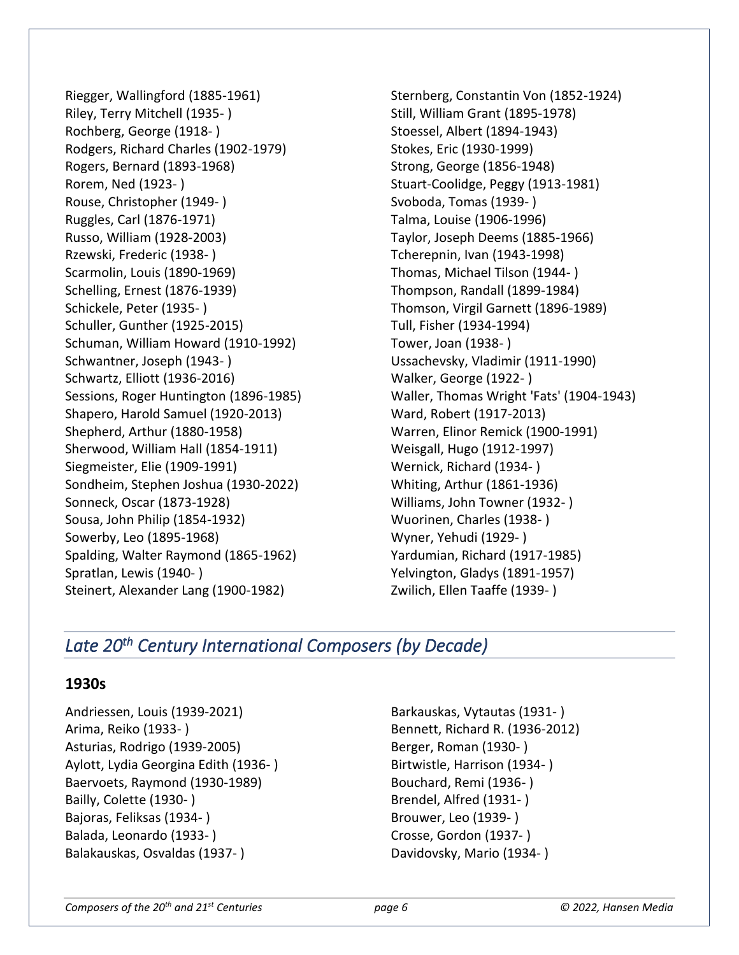Riegger, Wallingford (1885-1961) Riley, Terry Mitchell (1935- ) Rochberg, George (1918- ) Rodgers, Richard Charles (1902-1979) Rogers, Bernard (1893-1968) Rorem, Ned (1923- ) Rouse, Christopher (1949- ) Ruggles, Carl (1876-1971) Russo, William (1928-2003) Rzewski, Frederic (1938- ) Scarmolin, Louis (1890-1969) Schelling, Ernest (1876-1939) Schickele, Peter (1935- ) Schuller, Gunther (1925-2015) Schuman, William Howard (1910-1992) Schwantner, Joseph (1943- ) Schwartz, Elliott (1936-2016) Sessions, Roger Huntington (1896-1985) Shapero, Harold Samuel (1920-2013) Shepherd, Arthur (1880-1958) Sherwood, William Hall (1854-1911) Siegmeister, Elie (1909-1991) Sondheim, Stephen Joshua (1930-2022) Sonneck, Oscar (1873-1928) Sousa, John Philip (1854-1932) Sowerby, Leo (1895-1968) Spalding, Walter Raymond (1865-1962) Spratlan, Lewis (1940- ) Steinert, Alexander Lang (1900-1982)

Sternberg, Constantin Von (1852-1924) Still, William Grant (1895-1978) Stoessel, Albert (1894-1943) Stokes, Eric (1930-1999) Strong, George (1856-1948) Stuart-Coolidge, Peggy (1913-1981) Svoboda, Tomas (1939- ) Talma, Louise (1906-1996) Taylor, Joseph Deems (1885-1966) Tcherepnin, Ivan (1943-1998) Thomas, Michael Tilson (1944- ) Thompson, Randall (1899-1984) Thomson, Virgil Garnett (1896-1989) Tull, Fisher (1934-1994) Tower, Joan (1938- ) Ussachevsky, Vladimir (1911-1990) Walker, George (1922- ) Waller, Thomas Wright 'Fats' (1904-1943) Ward, Robert (1917-2013) Warren, Elinor Remick (1900-1991) Weisgall, Hugo (1912-1997) Wernick, Richard (1934- ) Whiting, Arthur (1861-1936) Williams, John Towner (1932- ) Wuorinen, Charles (1938- ) Wyner, Yehudi (1929- ) Yardumian, Richard (1917-1985) Yelvington, Gladys (1891-1957) Zwilich, Ellen Taaffe (1939- )

## *Late 20th Century International Composers (by Decade)*

## **1930s**

Andriessen, Louis (1939-2021) Arima, Reiko (1933- ) Asturias, Rodrigo (1939-2005) Aylott, Lydia Georgina Edith (1936- ) Baervoets, Raymond (1930-1989) Bailly, Colette (1930- ) Bajoras, Feliksas (1934- ) Balada, Leonardo (1933- ) Balakauskas, Osvaldas (1937- )

Barkauskas, Vytautas (1931- ) Bennett, Richard R. (1936-2012) Berger, Roman (1930- ) Birtwistle, Harrison (1934- ) Bouchard, Remi (1936- ) Brendel, Alfred (1931- ) Brouwer, Leo (1939- ) Crosse, Gordon (1937- ) Davidovsky, Mario (1934- )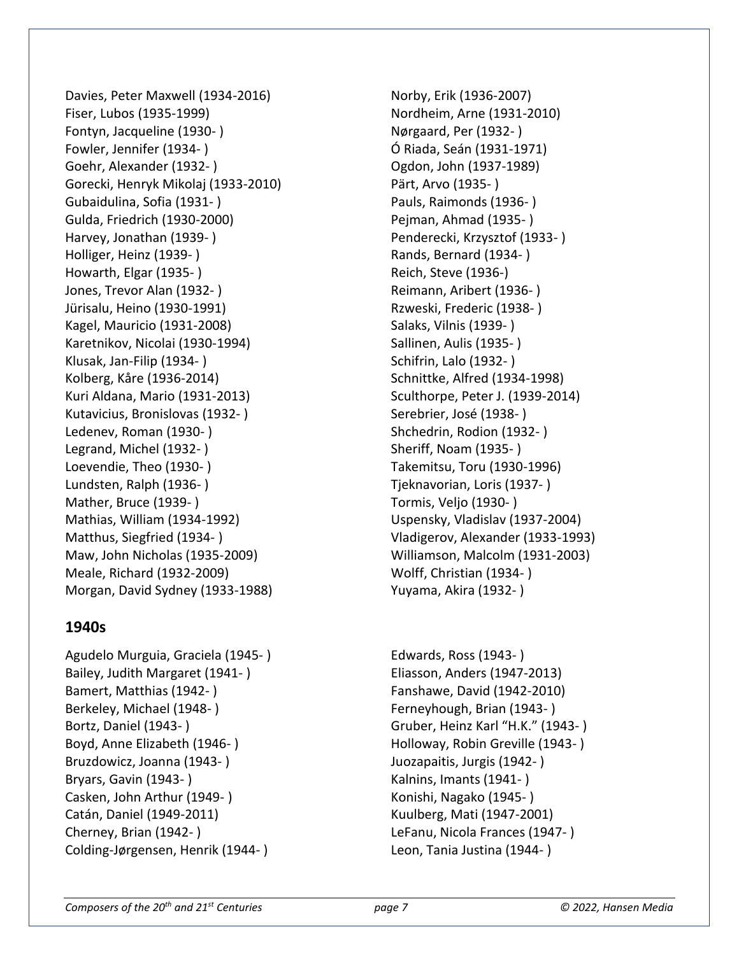Davies, Peter Maxwell (1934-2016) Fiser, Lubos (1935-1999) Fontyn, Jacqueline (1930- ) Fowler, Jennifer (1934- ) Goehr, Alexander (1932- ) Gorecki, Henryk Mikolaj (1933-2010) Gubaidulina, Sofia (1931- ) Gulda, Friedrich (1930-2000) Harvey, Jonathan (1939- ) Holliger, Heinz (1939- ) Howarth, Elgar (1935- ) Jones, Trevor Alan (1932- ) Jürisalu, Heino (1930-1991) Kagel, Mauricio (1931-2008) Karetnikov, Nicolai (1930-1994) Klusak, Jan-Filip (1934- ) Kolberg, Kåre (1936-2014) Kuri Aldana, Mario (1931-2013) Kutavicius, Bronislovas (1932- ) Ledenev, Roman (1930- ) Legrand, Michel (1932- ) Loevendie, Theo (1930- ) Lundsten, Ralph (1936- ) Mather, Bruce (1939- ) Mathias, William (1934-1992) Matthus, Siegfried (1934- ) Maw, John Nicholas (1935-2009) Meale, Richard (1932-2009) Morgan, David Sydney (1933-1988)

## **1940s**

Agudelo Murguia, Graciela (1945- ) Bailey, Judith Margaret (1941- ) Bamert, Matthias (1942- ) Berkeley, Michael (1948- ) Bortz, Daniel (1943- ) Boyd, Anne Elizabeth (1946- ) Bruzdowicz, Joanna (1943- ) Bryars, Gavin (1943- ) Casken, John Arthur (1949- ) Catán, Daniel (1949-2011) Cherney, Brian (1942- ) Colding-Jørgensen, Henrik (1944- )

Norby, Erik (1936-2007) Nordheim, Arne (1931-2010) Nørgaard, Per (1932- ) Ó Riada, Seán (1931-1971) Ogdon, John (1937-1989) Pärt, Arvo (1935- ) Pauls, Raimonds (1936- ) Pejman, Ahmad (1935- ) Penderecki, Krzysztof (1933- ) Rands, Bernard (1934- ) Reich, Steve (1936-) Reimann, Aribert (1936- ) Rzweski, Frederic (1938- ) Salaks, Vilnis (1939- ) Sallinen, Aulis (1935- ) Schifrin, Lalo (1932- ) Schnittke, Alfred (1934-1998) Sculthorpe, Peter J. (1939-2014) Serebrier, José (1938- ) Shchedrin, Rodion (1932- ) Sheriff, Noam (1935- ) Takemitsu, Toru (1930-1996) Tjeknavorian, Loris (1937- ) Tormis, Veljo (1930- ) Uspensky, Vladislav (1937-2004) Vladigerov, Alexander (1933-1993) Williamson, Malcolm (1931-2003) Wolff, Christian (1934- ) Yuyama, Akira (1932- )

Edwards, Ross (1943- ) Eliasson, Anders (1947-2013) Fanshawe, David (1942-2010) Ferneyhough, Brian (1943- ) Gruber, Heinz Karl "H.K." (1943- ) Holloway, Robin Greville (1943- ) Juozapaitis, Jurgis (1942- ) Kalnins, Imants (1941- ) Konishi, Nagako (1945- ) Kuulberg, Mati (1947-2001) LeFanu, Nicola Frances (1947- ) Leon, Tania Justina (1944- )